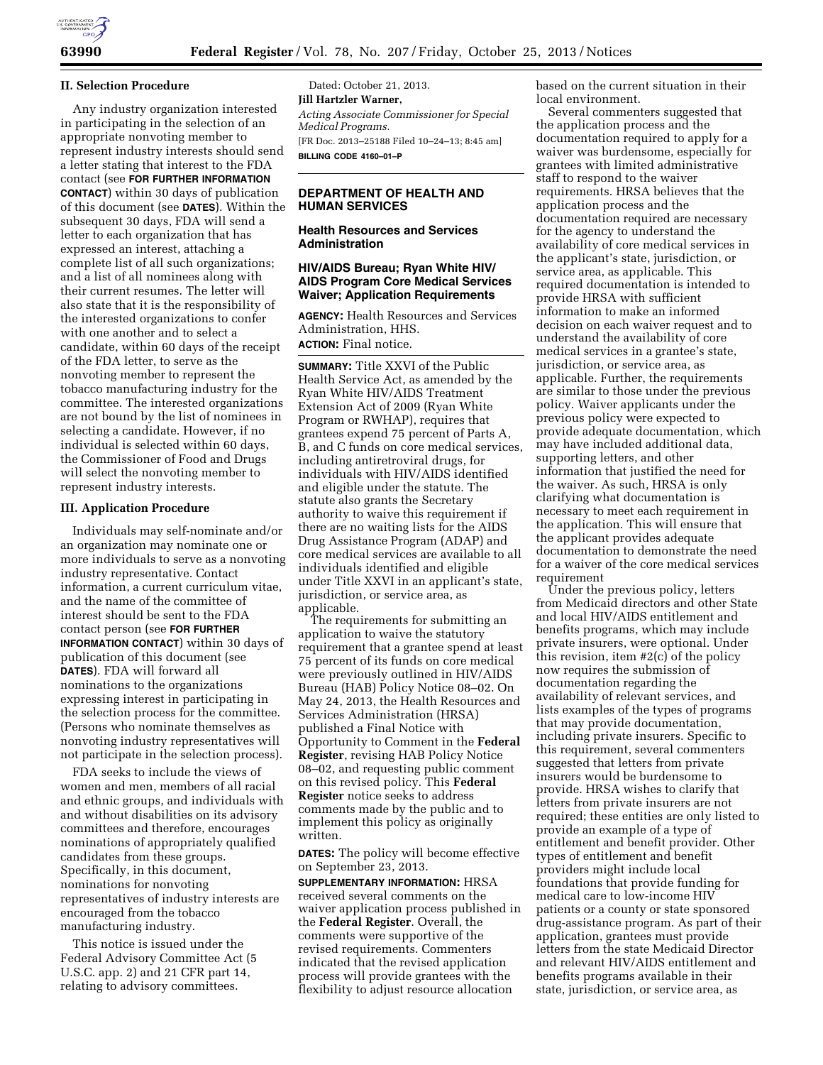

### **II. Selection Procedure**

Any industry organization interested in participating in the selection of an appropriate nonvoting member to represent industry interests should send a letter stating that interest to the FDA contact (see **FOR FURTHER INFORMATION CONTACT**) within 30 days of publication of this document (see **DATES**). Within the subsequent 30 days, FDA will send a letter to each organization that has expressed an interest, attaching a complete list of all such organizations; and a list of all nominees along with their current resumes. The letter will also state that it is the responsibility of the interested organizations to confer with one another and to select a candidate, within 60 days of the receipt of the FDA letter, to serve as the nonvoting member to represent the tobacco manufacturing industry for the committee. The interested organizations are not bound by the list of nominees in selecting a candidate. However, if no individual is selected within 60 days, the Commissioner of Food and Drugs will select the nonvoting member to represent industry interests.

## **III. Application Procedure**

Individuals may self-nominate and/or an organization may nominate one or more individuals to serve as a nonvoting industry representative. Contact information, a current curriculum vitae, and the name of the committee of interest should be sent to the FDA contact person (see **FOR FURTHER INFORMATION CONTACT**) within 30 days of publication of this document (see **DATES**). FDA will forward all nominations to the organizations expressing interest in participating in the selection process for the committee. (Persons who nominate themselves as nonvoting industry representatives will not participate in the selection process).

FDA seeks to include the views of women and men, members of all racial and ethnic groups, and individuals with and without disabilities on its advisory committees and therefore, encourages nominations of appropriately qualified candidates from these groups. Specifically, in this document, nominations for nonvoting representatives of industry interests are encouraged from the tobacco manufacturing industry.

This notice is issued under the Federal Advisory Committee Act (5 U.S.C. app. 2) and 21 CFR part 14, relating to advisory committees.

Dated: October 21, 2013. **Jill Hartzler Warner,**  *Acting Associate Commissioner for Special Medical Programs.*  [FR Doc. 2013–25188 Filed 10–24–13; 8:45 am] **BILLING CODE 4160–01–P** 

## **DEPARTMENT OF HEALTH AND HUMAN SERVICES**

### **Health Resources and Services Administration**

## **HIV/AIDS Bureau; Ryan White HIV/ AIDS Program Core Medical Services Waiver; Application Requirements**

**AGENCY:** Health Resources and Services Administration, HHS.

**ACTION:** Final notice.

**SUMMARY:** Title XXVI of the Public Health Service Act, as amended by the Ryan White HIV/AIDS Treatment Extension Act of 2009 (Ryan White Program or RWHAP), requires that grantees expend 75 percent of Parts A, B, and C funds on core medical services, including antiretroviral drugs, for individuals with HIV/AIDS identified and eligible under the statute. The statute also grants the Secretary authority to waive this requirement if there are no waiting lists for the AIDS Drug Assistance Program (ADAP) and core medical services are available to all individuals identified and eligible under Title XXVI in an applicant's state, jurisdiction, or service area, as applicable.

The requirements for submitting an application to waive the statutory requirement that a grantee spend at least 75 percent of its funds on core medical were previously outlined in HIV/AIDS Bureau (HAB) Policy Notice 08–02. On May 24, 2013, the Health Resources and Services Administration (HRSA) published a Final Notice with Opportunity to Comment in the **Federal Register**, revising HAB Policy Notice 08–02, and requesting public comment on this revised policy. This **Federal Register** notice seeks to address comments made by the public and to implement this policy as originally written.

**DATES:** The policy will become effective on September 23, 2013.

**SUPPLEMENTARY INFORMATION:** HRSA received several comments on the waiver application process published in the **Federal Register**. Overall, the comments were supportive of the revised requirements. Commenters indicated that the revised application process will provide grantees with the flexibility to adjust resource allocation

based on the current situation in their local environment.

Several commenters suggested that the application process and the documentation required to apply for a waiver was burdensome, especially for grantees with limited administrative staff to respond to the waiver requirements. HRSA believes that the application process and the documentation required are necessary for the agency to understand the availability of core medical services in the applicant's state, jurisdiction, or service area, as applicable. This required documentation is intended to provide HRSA with sufficient information to make an informed decision on each waiver request and to understand the availability of core medical services in a grantee's state, jurisdiction, or service area, as applicable. Further, the requirements are similar to those under the previous policy. Waiver applicants under the previous policy were expected to provide adequate documentation, which may have included additional data, supporting letters, and other information that justified the need for the waiver. As such, HRSA is only clarifying what documentation is necessary to meet each requirement in the application. This will ensure that the applicant provides adequate documentation to demonstrate the need for a waiver of the core medical services requirement

Under the previous policy, letters from Medicaid directors and other State and local HIV/AIDS entitlement and benefits programs, which may include private insurers, were optional. Under this revision, item #2(c) of the policy now requires the submission of documentation regarding the availability of relevant services, and lists examples of the types of programs that may provide documentation, including private insurers. Specific to this requirement, several commenters suggested that letters from private insurers would be burdensome to provide. HRSA wishes to clarify that letters from private insurers are not required; these entities are only listed to provide an example of a type of entitlement and benefit provider. Other types of entitlement and benefit providers might include local foundations that provide funding for medical care to low-income HIV patients or a county or state sponsored drug-assistance program. As part of their application, grantees must provide letters from the state Medicaid Director and relevant HIV/AIDS entitlement and benefits programs available in their state, jurisdiction, or service area, as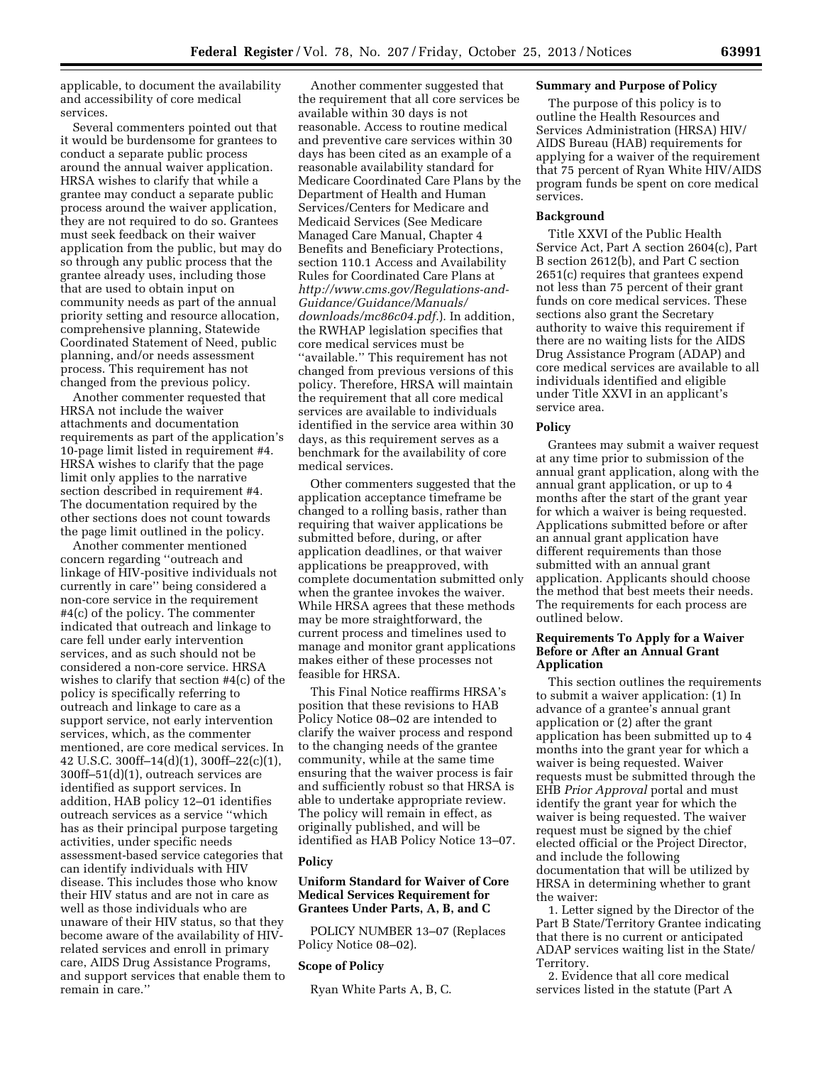applicable, to document the availability and accessibility of core medical services.

Several commenters pointed out that it would be burdensome for grantees to conduct a separate public process around the annual waiver application. HRSA wishes to clarify that while a grantee may conduct a separate public process around the waiver application, they are not required to do so. Grantees must seek feedback on their waiver application from the public, but may do so through any public process that the grantee already uses, including those that are used to obtain input on community needs as part of the annual priority setting and resource allocation, comprehensive planning, Statewide Coordinated Statement of Need, public planning, and/or needs assessment process. This requirement has not changed from the previous policy.

Another commenter requested that HRSA not include the waiver attachments and documentation requirements as part of the application's 10-page limit listed in requirement #4. HRSA wishes to clarify that the page limit only applies to the narrative section described in requirement #4. The documentation required by the other sections does not count towards the page limit outlined in the policy.

Another commenter mentioned concern regarding ''outreach and linkage of HIV-positive individuals not currently in care'' being considered a non-core service in the requirement #4(c) of the policy. The commenter indicated that outreach and linkage to care fell under early intervention services, and as such should not be considered a non-core service. HRSA wishes to clarify that section #4(c) of the policy is specifically referring to outreach and linkage to care as a support service, not early intervention services, which, as the commenter mentioned, are core medical services. In 42 U.S.C. 300ff–14(d)(1), 300ff–22(c)(1), 300ff–51(d)(1), outreach services are identified as support services. In addition, HAB policy 12–01 identifies outreach services as a service ''which has as their principal purpose targeting activities, under specific needs assessment-based service categories that can identify individuals with HIV disease. This includes those who know their HIV status and are not in care as well as those individuals who are unaware of their HIV status, so that they become aware of the availability of HIVrelated services and enroll in primary care, AIDS Drug Assistance Programs, and support services that enable them to remain in care.''

Another commenter suggested that the requirement that all core services be available within 30 days is not reasonable. Access to routine medical and preventive care services within 30 days has been cited as an example of a reasonable availability standard for Medicare Coordinated Care Plans by the Department of Health and Human Services/Centers for Medicare and Medicaid Services (See Medicare Managed Care Manual, Chapter 4 Benefits and Beneficiary Protections, section 110.1 Access and Availability Rules for Coordinated Care Plans at *[http://www.cms.gov/Regulations-and-](http://www.cms.gov/Regulations-and-Guidance/Guidance/Manuals/downloads/mc86c04.pdf)[Guidance/Guidance/Manuals/](http://www.cms.gov/Regulations-and-Guidance/Guidance/Manuals/downloads/mc86c04.pdf) [downloads/mc86c04.pdf.](http://www.cms.gov/Regulations-and-Guidance/Guidance/Manuals/downloads/mc86c04.pdf)*). In addition, the RWHAP legislation specifies that core medical services must be ''available.'' This requirement has not changed from previous versions of this policy. Therefore, HRSA will maintain the requirement that all core medical services are available to individuals identified in the service area within 30 days, as this requirement serves as a benchmark for the availability of core medical services.

Other commenters suggested that the application acceptance timeframe be changed to a rolling basis, rather than requiring that waiver applications be submitted before, during, or after application deadlines, or that waiver applications be preapproved, with complete documentation submitted only when the grantee invokes the waiver. While HRSA agrees that these methods may be more straightforward, the current process and timelines used to manage and monitor grant applications makes either of these processes not feasible for HRSA.

This Final Notice reaffirms HRSA's position that these revisions to HAB Policy Notice 08–02 are intended to clarify the waiver process and respond to the changing needs of the grantee community, while at the same time ensuring that the waiver process is fair and sufficiently robust so that HRSA is able to undertake appropriate review. The policy will remain in effect, as originally published, and will be identified as HAB Policy Notice 13–07.

#### **Policy**

## **Uniform Standard for Waiver of Core Medical Services Requirement for Grantees Under Parts, A, B, and C**

POLICY NUMBER 13–07 (Replaces Policy Notice 08–02).

#### **Scope of Policy**

Ryan White Parts A, B, C.

### **Summary and Purpose of Policy**

The purpose of this policy is to outline the Health Resources and Services Administration (HRSA) HIV/ AIDS Bureau (HAB) requirements for applying for a waiver of the requirement that 75 percent of Ryan White HIV/AIDS program funds be spent on core medical services.

## **Background**

Title XXVI of the Public Health Service Act, Part A section 2604(c), Part B section 2612(b), and Part C section 2651(c) requires that grantees expend not less than 75 percent of their grant funds on core medical services. These sections also grant the Secretary authority to waive this requirement if there are no waiting lists for the AIDS Drug Assistance Program (ADAP) and core medical services are available to all individuals identified and eligible under Title XXVI in an applicant's service area.

#### **Policy**

Grantees may submit a waiver request at any time prior to submission of the annual grant application, along with the annual grant application, or up to 4 months after the start of the grant year for which a waiver is being requested. Applications submitted before or after an annual grant application have different requirements than those submitted with an annual grant application. Applicants should choose the method that best meets their needs. The requirements for each process are outlined below.

## **Requirements To Apply for a Waiver Before or After an Annual Grant Application**

This section outlines the requirements to submit a waiver application: (1) In advance of a grantee's annual grant application or (2) after the grant application has been submitted up to 4 months into the grant year for which a waiver is being requested. Waiver requests must be submitted through the EHB *Prior Approval* portal and must identify the grant year for which the waiver is being requested. The waiver request must be signed by the chief elected official or the Project Director, and include the following documentation that will be utilized by HRSA in determining whether to grant the waiver:

1. Letter signed by the Director of the Part B State/Territory Grantee indicating that there is no current or anticipated ADAP services waiting list in the State/ Territory.

2. Evidence that all core medical services listed in the statute (Part A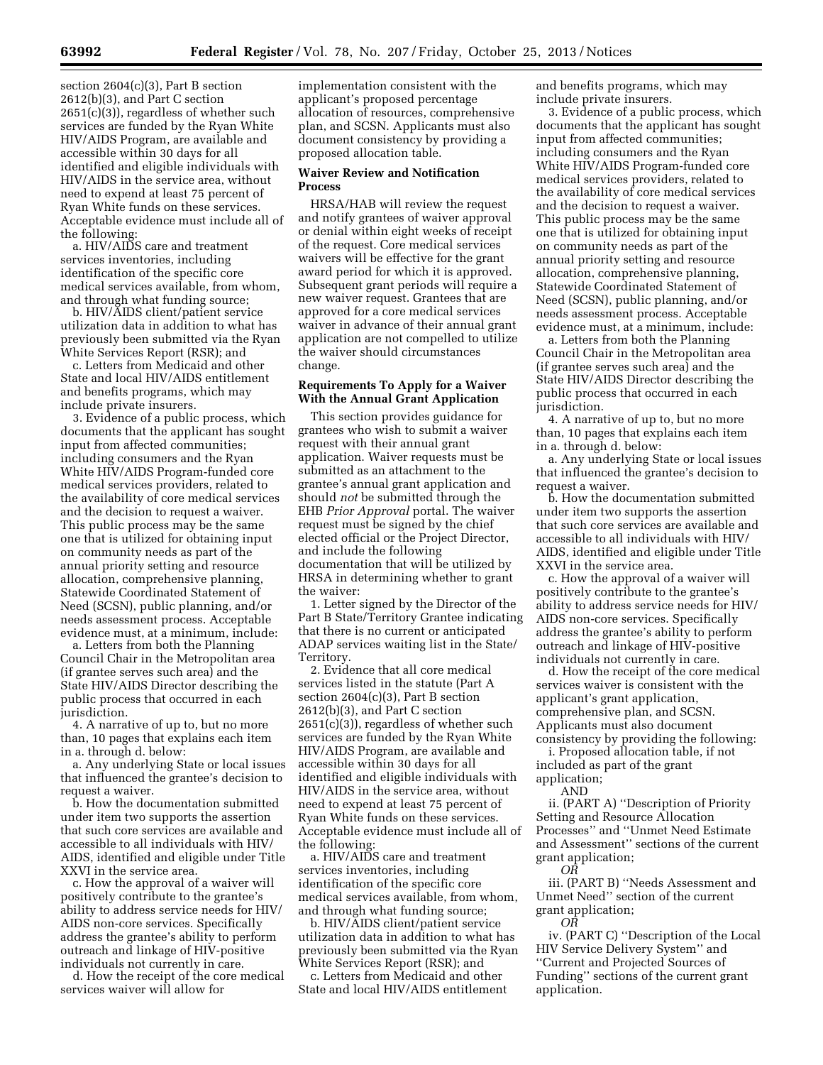section 2604(c)(3), Part B section 2612(b)(3), and Part C section 2651(c)(3)), regardless of whether such services are funded by the Ryan White HIV/AIDS Program, are available and accessible within 30 days for all identified and eligible individuals with HIV/AIDS in the service area, without need to expend at least 75 percent of Ryan White funds on these services. Acceptable evidence must include all of the following:

a. HIV/AIDS care and treatment services inventories, including identification of the specific core medical services available, from whom, and through what funding source;

b. HIV/AIDS client/patient service utilization data in addition to what has previously been submitted via the Ryan White Services Report (RSR); and

c. Letters from Medicaid and other State and local HIV/AIDS entitlement and benefits programs, which may include private insurers.

3. Evidence of a public process, which documents that the applicant has sought input from affected communities; including consumers and the Ryan White HIV/AIDS Program-funded core medical services providers, related to the availability of core medical services and the decision to request a waiver. This public process may be the same one that is utilized for obtaining input on community needs as part of the annual priority setting and resource allocation, comprehensive planning, Statewide Coordinated Statement of Need (SCSN), public planning, and/or needs assessment process. Acceptable evidence must, at a minimum, include:

a. Letters from both the Planning Council Chair in the Metropolitan area (if grantee serves such area) and the State HIV/AIDS Director describing the public process that occurred in each jurisdiction.

4. A narrative of up to, but no more than, 10 pages that explains each item in a. through d. below:

a. Any underlying State or local issues that influenced the grantee's decision to request a waiver.

b. How the documentation submitted under item two supports the assertion that such core services are available and accessible to all individuals with HIV/ AIDS, identified and eligible under Title XXVI in the service area.

c. How the approval of a waiver will positively contribute to the grantee's ability to address service needs for HIV/ AIDS non-core services. Specifically address the grantee's ability to perform outreach and linkage of HIV-positive individuals not currently in care.

d. How the receipt of the core medical services waiver will allow for

implementation consistent with the applicant's proposed percentage allocation of resources, comprehensive plan, and SCSN. Applicants must also document consistency by providing a proposed allocation table.

#### **Waiver Review and Notification Process**

HRSA/HAB will review the request and notify grantees of waiver approval or denial within eight weeks of receipt of the request. Core medical services waivers will be effective for the grant award period for which it is approved. Subsequent grant periods will require a new waiver request. Grantees that are approved for a core medical services waiver in advance of their annual grant application are not compelled to utilize the waiver should circumstances change.

## **Requirements To Apply for a Waiver With the Annual Grant Application**

This section provides guidance for grantees who wish to submit a waiver request with their annual grant application. Waiver requests must be submitted as an attachment to the grantee's annual grant application and should *not* be submitted through the EHB *Prior Approval* portal. The waiver request must be signed by the chief elected official or the Project Director, and include the following documentation that will be utilized by HRSA in determining whether to grant the waiver:

1. Letter signed by the Director of the Part B State/Territory Grantee indicating that there is no current or anticipated ADAP services waiting list in the State/ Territory.

2. Evidence that all core medical services listed in the statute (Part A section  $2604(c)(3)$ , Part B section 2612(b)(3), and Part C section 2651(c)(3)), regardless of whether such services are funded by the Ryan White HIV/AIDS Program, are available and accessible within 30 days for all identified and eligible individuals with HIV/AIDS in the service area, without need to expend at least 75 percent of Ryan White funds on these services. Acceptable evidence must include all of the following:

a. HIV/AIDS care and treatment services inventories, including identification of the specific core medical services available, from whom, and through what funding source;

b. HIV/AIDS client/patient service utilization data in addition to what has previously been submitted via the Ryan White Services Report (RSR); and

c. Letters from Medicaid and other State and local HIV/AIDS entitlement and benefits programs, which may include private insurers.

3. Evidence of a public process, which documents that the applicant has sought input from affected communities; including consumers and the Ryan White HIV/AIDS Program-funded core medical services providers, related to the availability of core medical services and the decision to request a waiver. This public process may be the same one that is utilized for obtaining input on community needs as part of the annual priority setting and resource allocation, comprehensive planning, Statewide Coordinated Statement of Need (SCSN), public planning, and/or needs assessment process. Acceptable evidence must, at a minimum, include:

a. Letters from both the Planning Council Chair in the Metropolitan area (if grantee serves such area) and the State HIV/AIDS Director describing the public process that occurred in each jurisdiction.

4. A narrative of up to, but no more than, 10 pages that explains each item in a. through d. below:

a. Any underlying State or local issues that influenced the grantee's decision to request a waiver.

b. How the documentation submitted under item two supports the assertion that such core services are available and accessible to all individuals with HIV/ AIDS, identified and eligible under Title XXVI in the service area.

c. How the approval of a waiver will positively contribute to the grantee's ability to address service needs for HIV/ AIDS non-core services. Specifically address the grantee's ability to perform outreach and linkage of HIV-positive individuals not currently in care.

d. How the receipt of the core medical services waiver is consistent with the applicant's grant application, comprehensive plan, and SCSN. Applicants must also document consistency by providing the following:

i. Proposed allocation table, if not included as part of the grant application;

ii. (PART A) ''Description of Priority Setting and Resource Allocation Processes'' and ''Unmet Need Estimate and Assessment'' sections of the current grant application; *OR* 

iii. (PART B) ''Needs Assessment and Unmet Need'' section of the current

grant application; *OR* 

iv. (PART C) ''Description of the Local HIV Service Delivery System'' and ''Current and Projected Sources of Funding'' sections of the current grant application.

AND